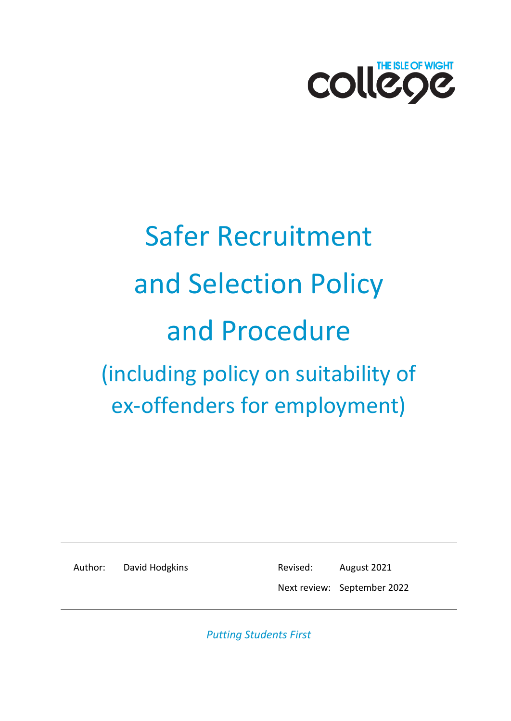

# Safer Recruitment and Selection Policy and Procedure (including policy on suitability of ex-offenders for employment)

Author: David Hodgkins Revised: August 2021

Next review: September 2022

*Putting Students First*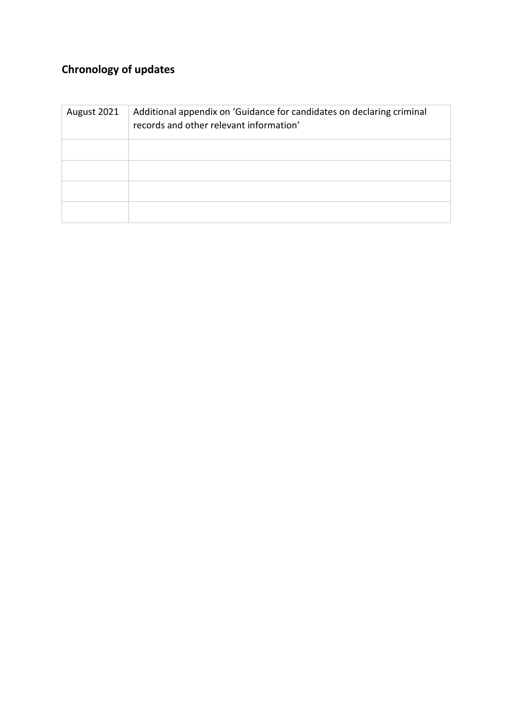## **Chronology of updates**

| August 2021 | Additional appendix on 'Guidance for candidates on declaring criminal<br>records and other relevant information' |
|-------------|------------------------------------------------------------------------------------------------------------------|
|             |                                                                                                                  |
|             |                                                                                                                  |
|             |                                                                                                                  |
|             |                                                                                                                  |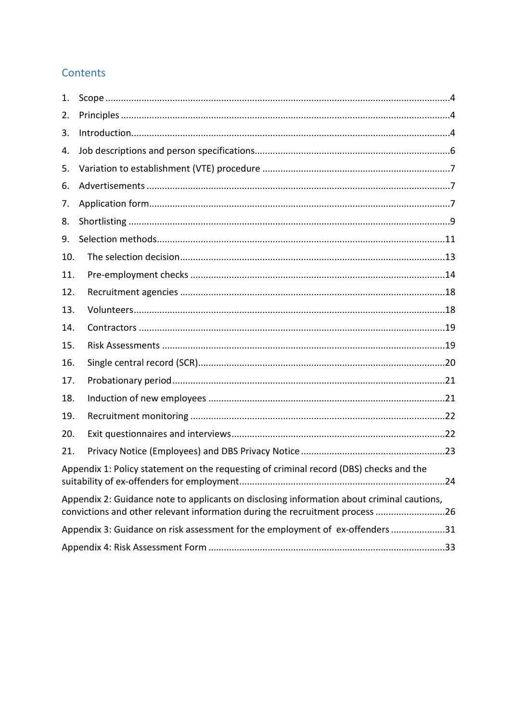## Contents

| 1.  |                                                                                                                                                                            |
|-----|----------------------------------------------------------------------------------------------------------------------------------------------------------------------------|
| 2.  |                                                                                                                                                                            |
| 3.  |                                                                                                                                                                            |
| 4.  |                                                                                                                                                                            |
| 5.  |                                                                                                                                                                            |
| 6.  |                                                                                                                                                                            |
| 7.  |                                                                                                                                                                            |
| 8.  |                                                                                                                                                                            |
| 9.  |                                                                                                                                                                            |
| 10. |                                                                                                                                                                            |
| 11. |                                                                                                                                                                            |
| 12. |                                                                                                                                                                            |
| 13. |                                                                                                                                                                            |
| 14. |                                                                                                                                                                            |
| 15. |                                                                                                                                                                            |
| 16. |                                                                                                                                                                            |
| 17. |                                                                                                                                                                            |
| 18. |                                                                                                                                                                            |
| 19. |                                                                                                                                                                            |
| 20. |                                                                                                                                                                            |
| 21. |                                                                                                                                                                            |
|     | Appendix 1: Policy statement on the requesting of criminal record (DBS) checks and the                                                                                     |
|     | Appendix 2: Guidance note to applicants on disclosing information about criminal cautions,<br>convictions and other relevant information during the recruitment process 26 |
|     | Appendix 3: Guidance on risk assessment for the employment of ex-offenders 31                                                                                              |
|     |                                                                                                                                                                            |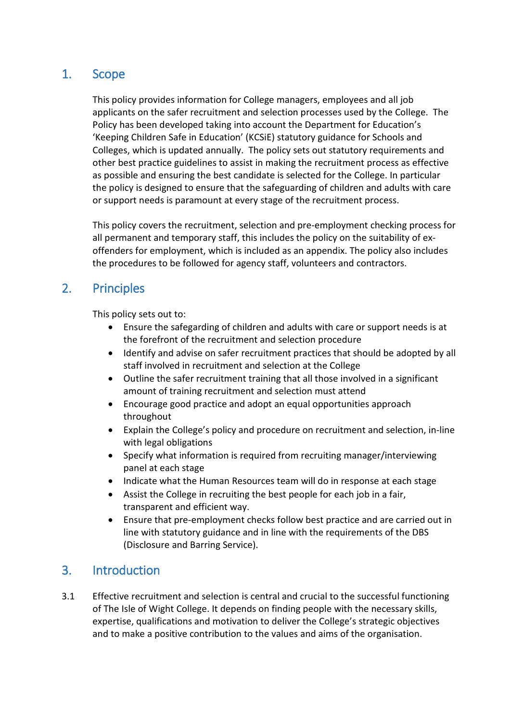## <span id="page-3-0"></span>1. Scope

This policy provides information for College managers, employees and all job applicants on the safer recruitment and selection processes used by the College. The Policy has been developed taking into account the Department for Education's 'Keeping Children Safe in Education' (KCSiE) statutory guidance for Schools and Colleges, which is updated annually. The policy sets out statutory requirements and other best practice guidelines to assist in making the recruitment process as effective as possible and ensuring the best candidate is selected for the College. In particular the policy is designed to ensure that the safeguarding of children and adults with care or support needs is paramount at every stage of the recruitment process.

This policy covers the recruitment, selection and pre-employment checking process for all permanent and temporary staff, this includes the policy on the suitability of exoffenders for employment, which is included as an appendix. The policy also includes the procedures to be followed for agency staff, volunteers and contractors.

## <span id="page-3-1"></span>2. Principles

This policy sets out to:

- Ensure the safegarding of children and adults with care or support needs is at the forefront of the recruitment and selection procedure
- Identify and advise on safer recruitment practices that should be adopted by all staff involved in recruitment and selection at the College
- Outline the safer recruitment training that all those involved in a significant amount of training recruitment and selection must attend
- Encourage good practice and adopt an equal opportunities approach throughout
- Explain the College's policy and procedure on recruitment and selection, in-line with legal obligations
- Specify what information is required from recruiting manager/interviewing panel at each stage
- Indicate what the Human Resources team will do in response at each stage
- Assist the College in recruiting the best people for each job in a fair, transparent and efficient way.
- Ensure that pre-employment checks follow best practice and are carried out in line with statutory guidance and in line with the requirements of the DBS (Disclosure and Barring Service).

## <span id="page-3-2"></span>3. Introduction

3.1 Effective recruitment and selection is central and crucial to the successful functioning of The Isle of Wight College. It depends on finding people with the necessary skills, expertise, qualifications and motivation to deliver the College's strategic objectives and to make a positive contribution to the values and aims of the organisation.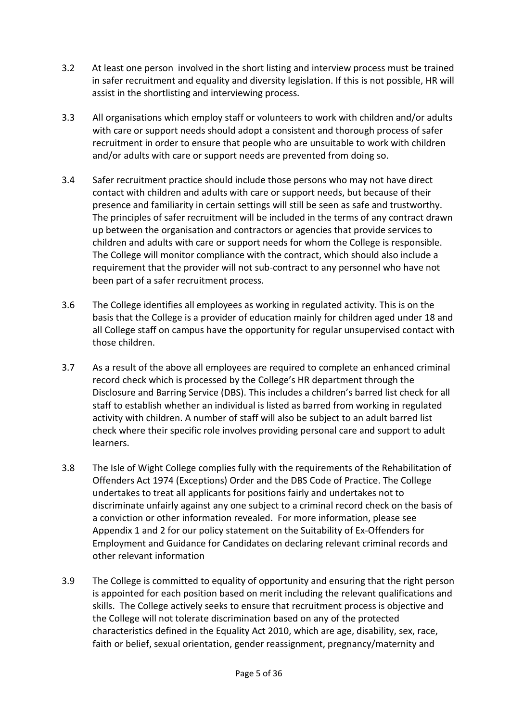- 3.2 At least one person involved in the short listing and interview process must be trained in safer recruitment and equality and diversity legislation. If this is not possible, HR will assist in the shortlisting and interviewing process.
- 3.3 All organisations which employ staff or volunteers to work with children and/or adults with care or support needs should adopt a consistent and thorough process of safer recruitment in order to ensure that people who are unsuitable to work with children and/or adults with care or support needs are prevented from doing so.
- 3.4 Safer recruitment practice should include those persons who may not have direct contact with children and adults with care or support needs, but because of their presence and familiarity in certain settings will still be seen as safe and trustworthy. The principles of safer recruitment will be included in the terms of any contract drawn up between the organisation and contractors or agencies that provide services to children and adults with care or support needs for whom the College is responsible. The College will monitor compliance with the contract, which should also include a requirement that the provider will not sub-contract to any personnel who have not been part of a safer recruitment process.
- 3.6 The College identifies all employees as working in regulated activity. This is on the basis that the College is a provider of education mainly for children aged under 18 and all College staff on campus have the opportunity for regular unsupervised contact with those children.
- 3.7 As a result of the above all employees are required to complete an enhanced criminal record check which is processed by the College's HR department through the Disclosure and Barring Service (DBS). This includes a children's barred list check for all staff to establish whether an individual is listed as barred from working in regulated activity with children. A number of staff will also be subject to an adult barred list check where their specific role involves providing personal care and support to adult learners.
- 3.8 The Isle of Wight College complies fully with the requirements of the Rehabilitation of Offenders Act 1974 (Exceptions) Order and the DBS Code of Practice. The College undertakes to treat all applicants for positions fairly and undertakes not to discriminate unfairly against any one subject to a criminal record check on the basis of a conviction or other information revealed. For more information, please see Appendix 1 and 2 for our policy statement on the Suitability of Ex-Offenders for Employment and Guidance for Candidates on declaring relevant criminal records and other relevant information
- 3.9 The College is committed to equality of opportunity and ensuring that the right person is appointed for each position based on merit including the relevant qualifications and skills. The College actively seeks to ensure that recruitment process is objective and the College will not tolerate discrimination based on any of the protected characteristics defined in the Equality Act 2010, which are age, disability, sex, race, faith or belief, sexual orientation, gender reassignment, pregnancy/maternity and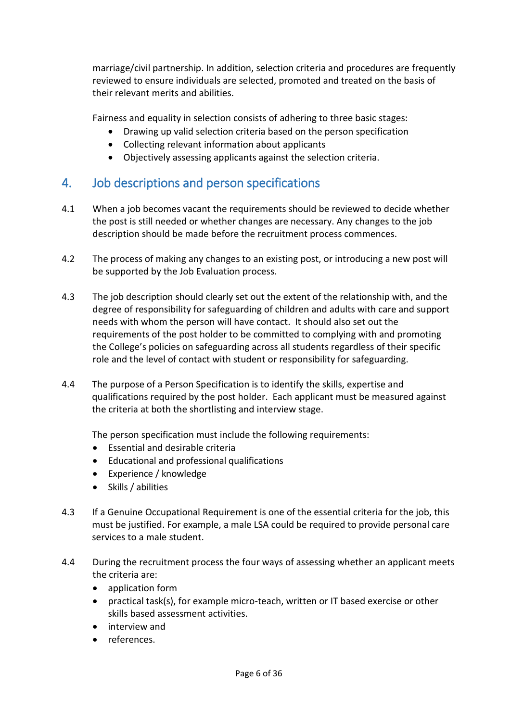marriage/civil partnership. In addition, selection criteria and procedures are frequently reviewed to ensure individuals are selected, promoted and treated on the basis of their relevant merits and abilities.

Fairness and equality in selection consists of adhering to three basic stages:

- Drawing up valid selection criteria based on the person specification
- Collecting relevant information about applicants
- Objectively assessing applicants against the selection criteria.

## <span id="page-5-0"></span>4. Job descriptions and person specifications

- 4.1 When a job becomes vacant the requirements should be reviewed to decide whether the post is still needed or whether changes are necessary. Any changes to the job description should be made before the recruitment process commences.
- 4.2 The process of making any changes to an existing post, or introducing a new post will be supported by the Job Evaluation process.
- 4.3 The job description should clearly set out the extent of the relationship with, and the degree of responsibility for safeguarding of children and adults with care and support needs with whom the person will have contact. It should also set out the requirements of the post holder to be committed to complying with and promoting the College's policies on safeguarding across all students regardless of their specific role and the level of contact with student or responsibility for safeguarding.
- 4.4 The purpose of a Person Specification is to identify the skills, expertise and qualifications required by the post holder. Each applicant must be measured against the criteria at both the shortlisting and interview stage.

The person specification must include the following requirements:

- Essential and desirable criteria
- Educational and professional qualifications
- Experience / knowledge
- Skills / abilities
- 4.3 If a Genuine Occupational Requirement is one of the essential criteria for the job, this must be justified. For example, a male LSA could be required to provide personal care services to a male student.
- 4.4 During the recruitment process the four ways of assessing whether an applicant meets the criteria are:
	- application form
	- practical task(s), for example micro-teach, written or IT based exercise or other skills based assessment activities.
	- interview and
	- references.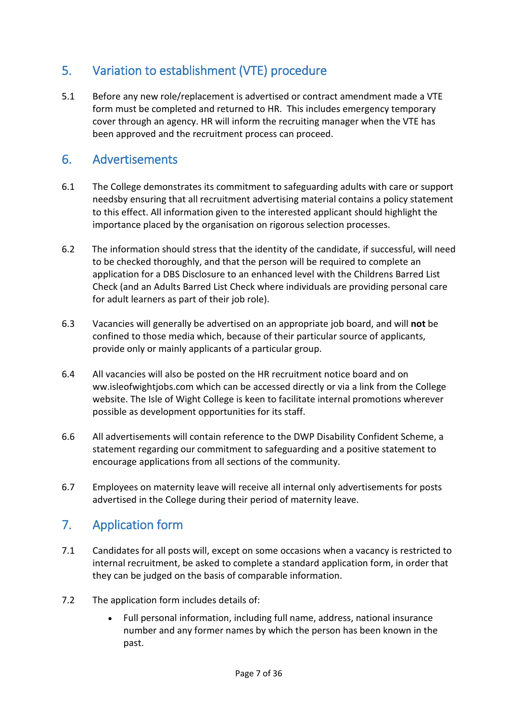## <span id="page-6-0"></span>5. Variation to establishment (VTE) procedure

5.1 Before any new role/replacement is advertised or contract amendment made a VTE form must be completed and returned to HR. This includes emergency temporary cover through an agency. HR will inform the recruiting manager when the VTE has been approved and the recruitment process can proceed.

## <span id="page-6-1"></span>6. Advertisements

- 6.1 The College demonstrates its commitment to safeguarding adults with care or support needsby ensuring that all recruitment advertising material contains a policy statement to this effect. All information given to the interested applicant should highlight the importance placed by the organisation on rigorous selection processes.
- 6.2 The information should stress that the identity of the candidate, if successful, will need to be checked thoroughly, and that the person will be required to complete an application for a DBS Disclosure to an enhanced level with the Childrens Barred List Check (and an Adults Barred List Check where individuals are providing personal care for adult learners as part of their job role).
- 6.3 Vacancies will generally be advertised on an appropriate job board, and will **not** be confined to those media which, because of their particular source of applicants, provide only or mainly applicants of a particular group.
- 6.4 All vacancies will also be posted on the HR recruitment notice board and on ww.isleofwightjobs.com which can be accessed directly or via a link from the College website. The Isle of Wight College is keen to facilitate internal promotions wherever possible as development opportunities for its staff.
- 6.6 All advertisements will contain reference to the DWP Disability Confident Scheme, a statement regarding our commitment to safeguarding and a positive statement to encourage applications from all sections of the community.
- 6.7 Employees on maternity leave will receive all internal only advertisements for posts advertised in the College during their period of maternity leave.

## <span id="page-6-2"></span>7. Application form

- 7.1 Candidates for all posts will, except on some occasions when a vacancy is restricted to internal recruitment, be asked to complete a standard application form, in order that they can be judged on the basis of comparable information.
- 7.2 The application form includes details of:
	- Full personal information, including full name, address, national insurance number and any former names by which the person has been known in the past.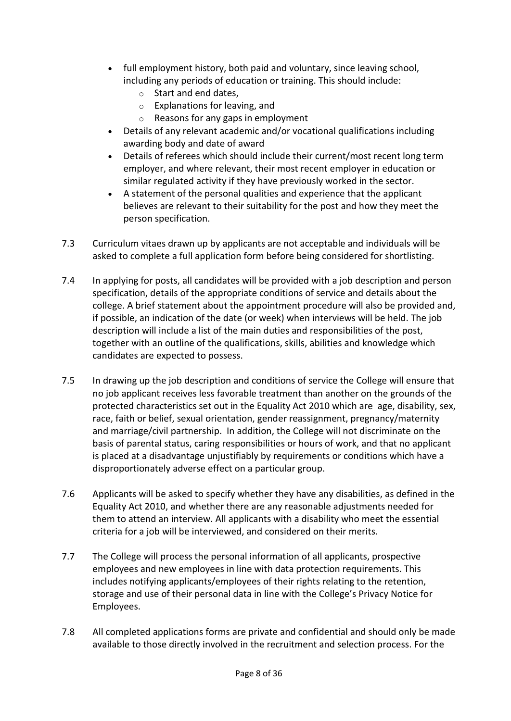- full employment history, both paid and voluntary, since leaving school, including any periods of education or training. This should include:
	- o Start and end dates,
	- o Explanations for leaving, and
	- o Reasons for any gaps in employment
- Details of any relevant academic and/or vocational qualifications including awarding body and date of award
- Details of referees which should include their current/most recent long term employer, and where relevant, their most recent employer in education or similar regulated activity if they have previously worked in the sector.
- A statement of the personal qualities and experience that the applicant believes are relevant to their suitability for the post and how they meet the person specification.
- 7.3 Curriculum vitaes drawn up by applicants are not acceptable and individuals will be asked to complete a full application form before being considered for shortlisting.
- 7.4 In applying for posts, all candidates will be provided with a job description and person specification, details of the appropriate conditions of service and details about the college. A brief statement about the appointment procedure will also be provided and, if possible, an indication of the date (or week) when interviews will be held. The job description will include a list of the main duties and responsibilities of the post, together with an outline of the qualifications, skills, abilities and knowledge which candidates are expected to possess.
- 7.5 In drawing up the job description and conditions of service the College will ensure that no job applicant receives less favorable treatment than another on the grounds of the protected characteristics set out in the Equality Act 2010 which are age, disability, sex, race, faith or belief, sexual orientation, gender reassignment, pregnancy/maternity and marriage/civil partnership. In addition, the College will not discriminate on the basis of parental status, caring responsibilities or hours of work, and that no applicant is placed at a disadvantage unjustifiably by requirements or conditions which have a disproportionately adverse effect on a particular group.
- 7.6 Applicants will be asked to specify whether they have any disabilities, as defined in the Equality Act 2010, and whether there are any reasonable adjustments needed for them to attend an interview. All applicants with a disability who meet the essential criteria for a job will be interviewed, and considered on their merits.
- 7.7 The College will process the personal information of all applicants, prospective employees and new employees in line with data protection requirements. This includes notifying applicants/employees of their rights relating to the retention, storage and use of their personal data in line with the College's Privacy Notice for Employees.
- 7.8 All completed applications forms are private and confidential and should only be made available to those directly involved in the recruitment and selection process. For the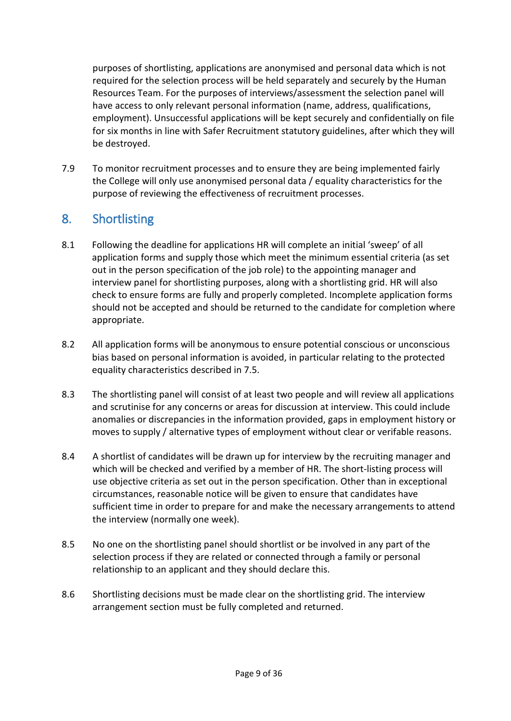purposes of shortlisting, applications are anonymised and personal data which is not required for the selection process will be held separately and securely by the Human Resources Team. For the purposes of interviews/assessment the selection panel will have access to only relevant personal information (name, address, qualifications, employment). Unsuccessful applications will be kept securely and confidentially on file for six months in line with Safer Recruitment statutory guidelines, after which they will be destroyed.

7.9 To monitor recruitment processes and to ensure they are being implemented fairly the College will only use anonymised personal data / equality characteristics for the purpose of reviewing the effectiveness of recruitment processes.

## <span id="page-8-0"></span>8. Shortlisting

- 8.1 Following the deadline for applications HR will complete an initial 'sweep' of all application forms and supply those which meet the minimum essential criteria (as set out in the person specification of the job role) to the appointing manager and interview panel for shortlisting purposes, along with a shortlisting grid. HR will also check to ensure forms are fully and properly completed. Incomplete application forms should not be accepted and should be returned to the candidate for completion where appropriate.
- 8.2 All application forms will be anonymous to ensure potential conscious or unconscious bias based on personal information is avoided, in particular relating to the protected equality characteristics described in 7.5.
- 8.3 The shortlisting panel will consist of at least two people and will review all applications and scrutinise for any concerns or areas for discussion at interview. This could include anomalies or discrepancies in the information provided, gaps in employment history or moves to supply / alternative types of employment without clear or verifable reasons.
- 8.4 A shortlist of candidates will be drawn up for interview by the recruiting manager and which will be checked and verified by a member of HR. The short-listing process will use objective criteria as set out in the person specification. Other than in exceptional circumstances, reasonable notice will be given to ensure that candidates have sufficient time in order to prepare for and make the necessary arrangements to attend the interview (normally one week).
- 8.5 No one on the shortlisting panel should shortlist or be involved in any part of the selection process if they are related or connected through a family or personal relationship to an applicant and they should declare this.
- 8.6 Shortlisting decisions must be made clear on the shortlisting grid. The interview arrangement section must be fully completed and returned.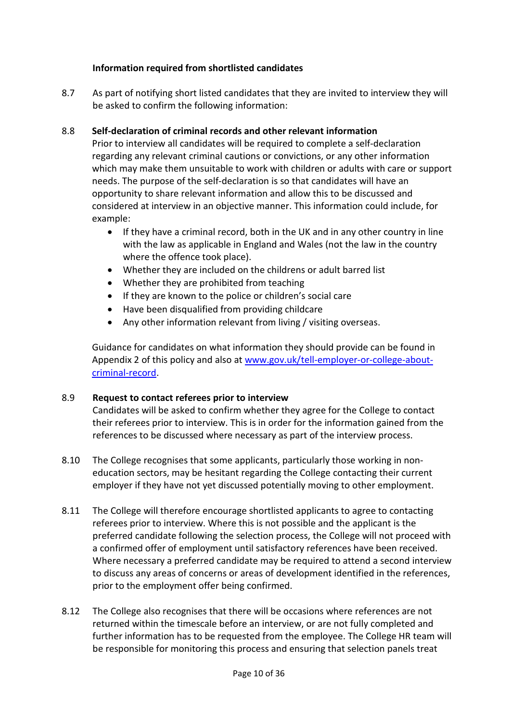#### **Information required from shortlisted candidates**

8.7 As part of notifying short listed candidates that they are invited to interview they will be asked to confirm the following information:

## 8.8 **Self-declaration of criminal records and other relevant information**

Prior to interview all candidates will be required to complete a self-declaration regarding any relevant criminal cautions or convictions, or any other information which may make them unsuitable to work with children or adults with care or support needs. The purpose of the self-declaration is so that candidates will have an opportunity to share relevant information and allow this to be discussed and considered at interview in an objective manner. This information could include, for example:

- If they have a criminal record, both in the UK and in any other country in line with the law as applicable in England and Wales (not the law in the country where the offence took place).
- Whether they are included on the childrens or adult barred list
- Whether they are prohibited from teaching
- If they are known to the police or children's social care
- Have been disqualified from providing childcare
- Any other information relevant from living / visiting overseas.

Guidance for candidates on what information they should provide can be found in Appendix 2 of this policy and also at [www.gov.uk/tell-employer-or-college-about](http://www.gov.uk/tell-employer-or-college-about-criminal-record)[criminal-record.](http://www.gov.uk/tell-employer-or-college-about-criminal-record)

#### 8.9 **Request to contact referees prior to interview**

Candidates will be asked to confirm whether they agree for the College to contact their referees prior to interview. This is in order for the information gained from the references to be discussed where necessary as part of the interview process.

- 8.10 The College recognises that some applicants, particularly those working in noneducation sectors, may be hesitant regarding the College contacting their current employer if they have not yet discussed potentially moving to other employment.
- 8.11 The College will therefore encourage shortlisted applicants to agree to contacting referees prior to interview. Where this is not possible and the applicant is the preferred candidate following the selection process, the College will not proceed with a confirmed offer of employment until satisfactory references have been received. Where necessary a preferred candidate may be required to attend a second interview to discuss any areas of concerns or areas of development identified in the references, prior to the employment offer being confirmed.
- 8.12 The College also recognises that there will be occasions where references are not returned within the timescale before an interview, or are not fully completed and further information has to be requested from the employee. The College HR team will be responsible for monitoring this process and ensuring that selection panels treat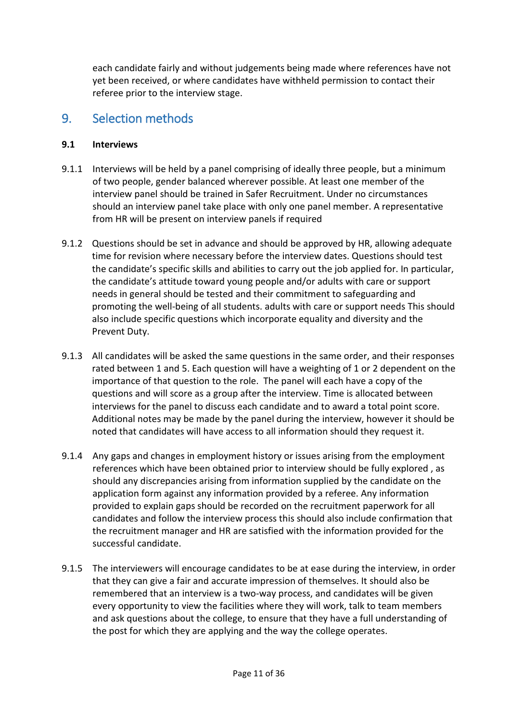each candidate fairly and without judgements being made where references have not yet been received, or where candidates have withheld permission to contact their referee prior to the interview stage.

## <span id="page-10-0"></span>9. Selection methods

## **9.1 Interviews**

- 9.1.1 Interviews will be held by a panel comprising of ideally three people, but a minimum of two people, gender balanced wherever possible. At least one member of the interview panel should be trained in Safer Recruitment. Under no circumstances should an interview panel take place with only one panel member. A representative from HR will be present on interview panels if required
- 9.1.2 Questions should be set in advance and should be approved by HR, allowing adequate time for revision where necessary before the interview dates. Questions should test the candidate's specific skills and abilities to carry out the job applied for. In particular, the candidate's attitude toward young people and/or adults with care or support needs in general should be tested and their commitment to safeguarding and promoting the well-being of all students. adults with care or support needs This should also include specific questions which incorporate equality and diversity and the Prevent Duty.
- 9.1.3 All candidates will be asked the same questions in the same order, and their responses rated between 1 and 5. Each question will have a weighting of 1 or 2 dependent on the importance of that question to the role. The panel will each have a copy of the questions and will score as a group after the interview. Time is allocated between interviews for the panel to discuss each candidate and to award a total point score. Additional notes may be made by the panel during the interview, however it should be noted that candidates will have access to all information should they request it.
- 9.1.4 Any gaps and changes in employment history or issues arising from the employment references which have been obtained prior to interview should be fully explored , as should any discrepancies arising from information supplied by the candidate on the application form against any information provided by a referee. Any information provided to explain gaps should be recorded on the recruitment paperwork for all candidates and follow the interview process this should also include confirmation that the recruitment manager and HR are satisfied with the information provided for the successful candidate.
- 9.1.5 The interviewers will encourage candidates to be at ease during the interview, in order that they can give a fair and accurate impression of themselves. It should also be remembered that an interview is a two-way process, and candidates will be given every opportunity to view the facilities where they will work, talk to team members and ask questions about the college, to ensure that they have a full understanding of the post for which they are applying and the way the college operates.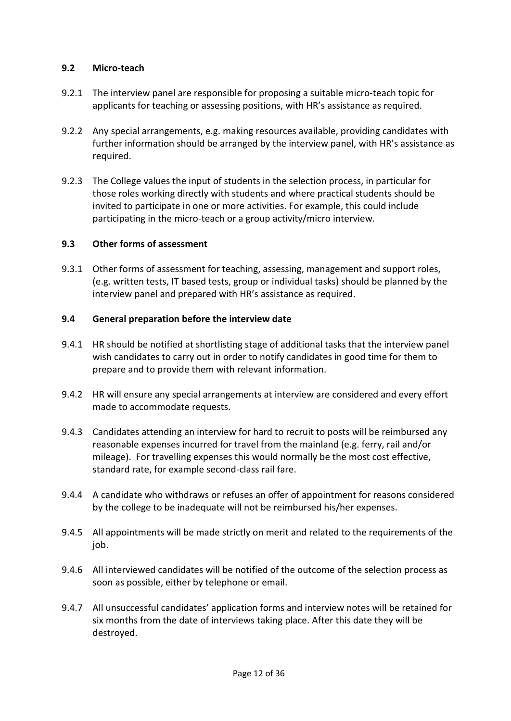#### **9.2 Micro-teach**

- 9.2.1 The interview panel are responsible for proposing a suitable micro-teach topic for applicants for teaching or assessing positions, with HR's assistance as required.
- 9.2.2 Any special arrangements, e.g. making resources available, providing candidates with further information should be arranged by the interview panel, with HR's assistance as required.
- 9.2.3 The College values the input of students in the selection process, in particular for those roles working directly with students and where practical students should be invited to participate in one or more activities. For example, this could include participating in the micro-teach or a group activity/micro interview.

#### **9.3 Other forms of assessment**

9.3.1 Other forms of assessment for teaching, assessing, management and support roles, (e.g. written tests, IT based tests, group or individual tasks) should be planned by the interview panel and prepared with HR's assistance as required.

#### **9.4 General preparation before the interview date**

- 9.4.1 HR should be notified at shortlisting stage of additional tasks that the interview panel wish candidates to carry out in order to notify candidates in good time for them to prepare and to provide them with relevant information.
- 9.4.2 HR will ensure any special arrangements at interview are considered and every effort made to accommodate requests.
- 9.4.3 Candidates attending an interview for hard to recruit to posts will be reimbursed any reasonable expenses incurred for travel from the mainland (e.g. ferry, rail and/or mileage). For travelling expenses this would normally be the most cost effective, standard rate, for example second-class rail fare.
- 9.4.4 A candidate who withdraws or refuses an offer of appointment for reasons considered by the college to be inadequate will not be reimbursed his/her expenses.
- 9.4.5 All appointments will be made strictly on merit and related to the requirements of the job.
- 9.4.6 All interviewed candidates will be notified of the outcome of the selection process as soon as possible, either by telephone or email.
- 9.4.7 All unsuccessful candidates' application forms and interview notes will be retained for six months from the date of interviews taking place. After this date they will be destroyed.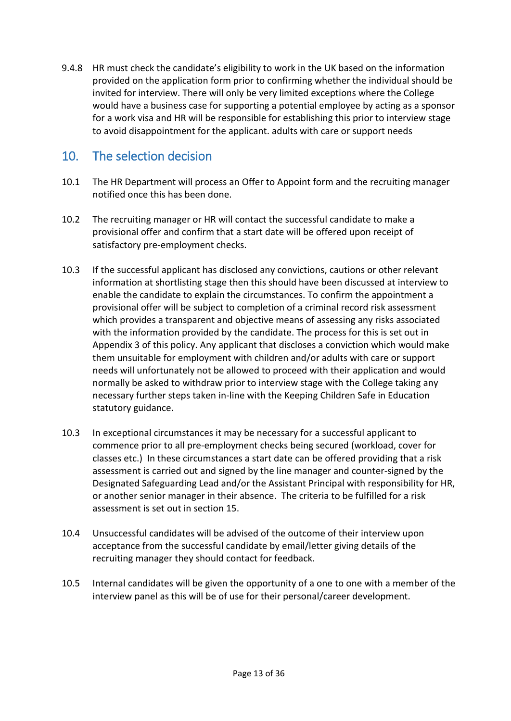9.4.8 HR must check the candidate's eligibility to work in the UK based on the information provided on the application form prior to confirming whether the individual should be invited for interview. There will only be very limited exceptions where the College would have a business case for supporting a potential employee by acting as a sponsor for a work visa and HR will be responsible for establishing this prior to interview stage to avoid disappointment for the applicant. adults with care or support needs

## <span id="page-12-0"></span>10. The selection decision

- 10.1 The HR Department will process an Offer to Appoint form and the recruiting manager notified once this has been done.
- 10.2 The recruiting manager or HR will contact the successful candidate to make a provisional offer and confirm that a start date will be offered upon receipt of satisfactory pre-employment checks.
- 10.3 If the successful applicant has disclosed any convictions, cautions or other relevant information at shortlisting stage then this should have been discussed at interview to enable the candidate to explain the circumstances. To confirm the appointment a provisional offer will be subject to completion of a criminal record risk assessment which provides a transparent and objective means of assessing any risks associated with the information provided by the candidate. The process for this is set out in Appendix 3 of this policy. Any applicant that discloses a conviction which would make them unsuitable for employment with children and/or adults with care or support needs will unfortunately not be allowed to proceed with their application and would normally be asked to withdraw prior to interview stage with the College taking any necessary further steps taken in-line with the Keeping Children Safe in Education statutory guidance.
- 10.3 In exceptional circumstances it may be necessary for a successful applicant to commence prior to all pre-employment checks being secured (workload, cover for classes etc.) In these circumstances a start date can be offered providing that a risk assessment is carried out and signed by the line manager and counter-signed by the Designated Safeguarding Lead and/or the Assistant Principal with responsibility for HR, or another senior manager in their absence. The criteria to be fulfilled for a risk assessment is set out in section 15.
- 10.4 Unsuccessful candidates will be advised of the outcome of their interview upon acceptance from the successful candidate by email/letter giving details of the recruiting manager they should contact for feedback.
- 10.5 Internal candidates will be given the opportunity of a one to one with a member of the interview panel as this will be of use for their personal/career development.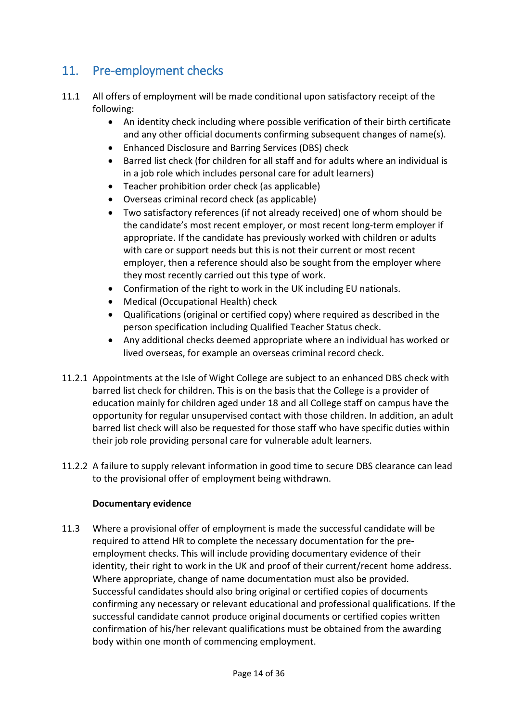## <span id="page-13-0"></span>11. Pre-employment checks

- 11.1 All offers of employment will be made conditional upon satisfactory receipt of the following:
	- An identity check including where possible verification of their birth certificate and any other official documents confirming subsequent changes of name(s).
	- Enhanced Disclosure and Barring Services (DBS) check
	- Barred list check (for children for all staff and for adults where an individual is in a job role which includes personal care for adult learners)
	- Teacher prohibition order check (as applicable)
	- Overseas criminal record check (as applicable)
	- Two satisfactory references (if not already received) one of whom should be the candidate's most recent employer, or most recent long-term employer if appropriate. If the candidate has previously worked with children or adults with care or support needs but this is not their current or most recent employer, then a reference should also be sought from the employer where they most recently carried out this type of work.
	- Confirmation of the right to work in the UK including EU nationals.
	- Medical (Occupational Health) check
	- Qualifications (original or certified copy) where required as described in the person specification including Qualified Teacher Status check.
	- Any additional checks deemed appropriate where an individual has worked or lived overseas, for example an overseas criminal record check.
- 11.2.1 Appointments at the Isle of Wight College are subject to an enhanced DBS check with barred list check for children. This is on the basis that the College is a provider of education mainly for children aged under 18 and all College staff on campus have the opportunity for regular unsupervised contact with those children. In addition, an adult barred list check will also be requested for those staff who have specific duties within their job role providing personal care for vulnerable adult learners.
- 11.2.2 A failure to supply relevant information in good time to secure DBS clearance can lead to the provisional offer of employment being withdrawn.

## **Documentary evidence**

11.3 Where a provisional offer of employment is made the successful candidate will be required to attend HR to complete the necessary documentation for the preemployment checks. This will include providing documentary evidence of their identity, their right to work in the UK and proof of their current/recent home address. Where appropriate, change of name documentation must also be provided. Successful candidates should also bring original or certified copies of documents confirming any necessary or relevant educational and professional qualifications. If the successful candidate cannot produce original documents or certified copies written confirmation of his/her relevant qualifications must be obtained from the awarding body within one month of commencing employment.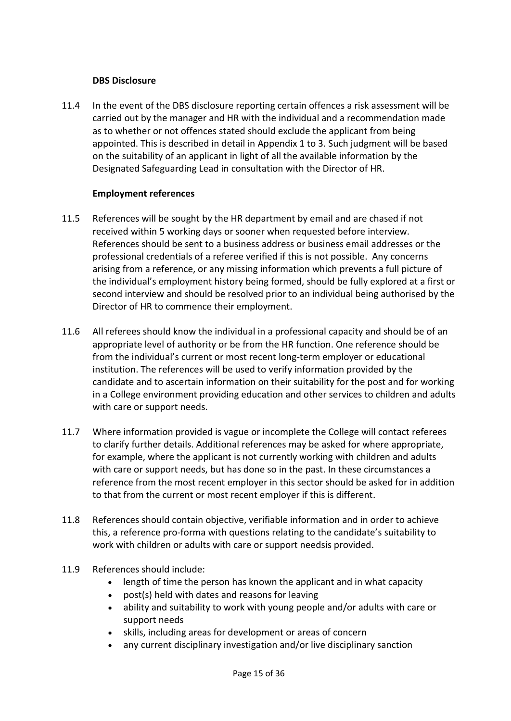#### **DBS Disclosure**

11.4 In the event of the DBS disclosure reporting certain offences a risk assessment will be carried out by the manager and HR with the individual and a recommendation made as to whether or not offences stated should exclude the applicant from being appointed. This is described in detail in Appendix 1 to 3. Such judgment will be based on the suitability of an applicant in light of all the available information by the Designated Safeguarding Lead in consultation with the Director of HR.

#### **Employment references**

- 11.5 References will be sought by the HR department by email and are chased if not received within 5 working days or sooner when requested before interview. References should be sent to a business address or business email addresses or the professional credentials of a referee verified if this is not possible. Any concerns arising from a reference, or any missing information which prevents a full picture of the individual's employment history being formed, should be fully explored at a first or second interview and should be resolved prior to an individual being authorised by the Director of HR to commence their employment.
- 11.6 All referees should know the individual in a professional capacity and should be of an appropriate level of authority or be from the HR function. One reference should be from the individual's current or most recent long-term employer or educational institution. The references will be used to verify information provided by the candidate and to ascertain information on their suitability for the post and for working in a College environment providing education and other services to children and adults with care or support needs.
- 11.7 Where information provided is vague or incomplete the College will contact referees to clarify further details. Additional references may be asked for where appropriate, for example, where the applicant is not currently working with children and adults with care or support needs, but has done so in the past. In these circumstances a reference from the most recent employer in this sector should be asked for in addition to that from the current or most recent employer if this is different.
- 11.8 References should contain objective, verifiable information and in order to achieve this, a reference pro-forma with questions relating to the candidate's suitability to work with children or adults with care or support needsis provided.
- 11.9 References should include:
	- length of time the person has known the applicant and in what capacity
	- post(s) held with dates and reasons for leaving
	- ability and suitability to work with young people and/or adults with care or support needs
	- skills, including areas for development or areas of concern
	- any current disciplinary investigation and/or live disciplinary sanction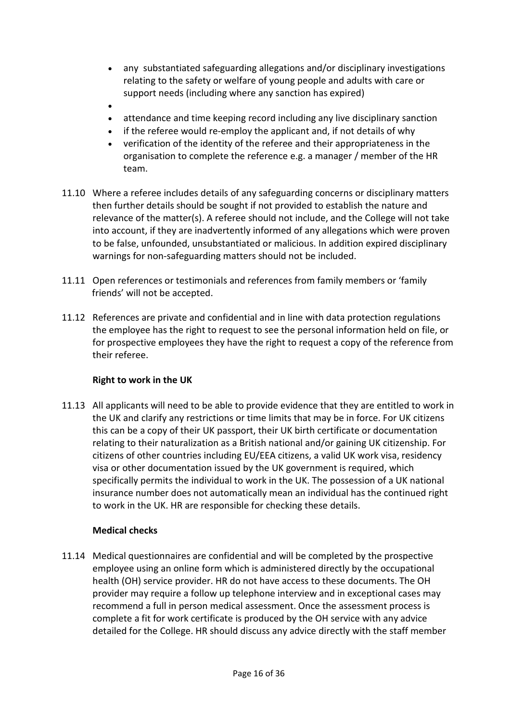- any substantiated safeguarding allegations and/or disciplinary investigations relating to the safety or welfare of young people and adults with care or support needs (including where any sanction has expired)
- •
- attendance and time keeping record including any live disciplinary sanction
- if the referee would re-employ the applicant and, if not details of why
- verification of the identity of the referee and their appropriateness in the organisation to complete the reference e.g. a manager / member of the HR team.
- 11.10 Where a referee includes details of any safeguarding concerns or disciplinary matters then further details should be sought if not provided to establish the nature and relevance of the matter(s). A referee should not include, and the College will not take into account, if they are inadvertently informed of any allegations which were proven to be false, unfounded, unsubstantiated or malicious. In addition expired disciplinary warnings for non-safeguarding matters should not be included.
- 11.11 Open references or testimonials and references from family members or 'family friends' will not be accepted.
- 11.12 References are private and confidential and in line with data protection regulations the employee has the right to request to see the personal information held on file, or for prospective employees they have the right to request a copy of the reference from their referee.

#### **Right to work in the UK**

11.13 All applicants will need to be able to provide evidence that they are entitled to work in the UK and clarify any restrictions or time limits that may be in force. For UK citizens this can be a copy of their UK passport, their UK birth certificate or documentation relating to their naturalization as a British national and/or gaining UK citizenship. For citizens of other countries including EU/EEA citizens, a valid UK work visa, residency visa or other documentation issued by the UK government is required, which specifically permits the individual to work in the UK. The possession of a UK national insurance number does not automatically mean an individual has the continued right to work in the UK. HR are responsible for checking these details.

#### **Medical checks**

11.14 Medical questionnaires are confidential and will be completed by the prospective employee using an online form which is administered directly by the occupational health (OH) service provider. HR do not have access to these documents. The OH provider may require a follow up telephone interview and in exceptional cases may recommend a full in person medical assessment. Once the assessment process is complete a fit for work certificate is produced by the OH service with any advice detailed for the College. HR should discuss any advice directly with the staff member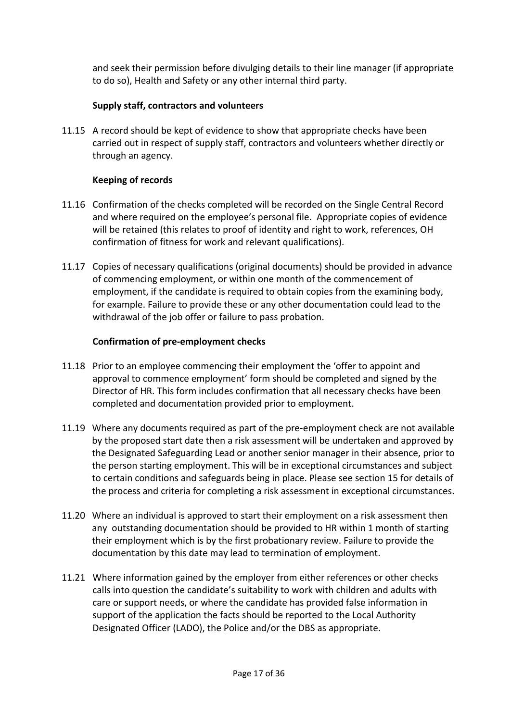and seek their permission before divulging details to their line manager (if appropriate to do so), Health and Safety or any other internal third party.

## **Supply staff, contractors and volunteers**

11.15 A record should be kept of evidence to show that appropriate checks have been carried out in respect of supply staff, contractors and volunteers whether directly or through an agency.

## **Keeping of records**

- 11.16 Confirmation of the checks completed will be recorded on the Single Central Record and where required on the employee's personal file. Appropriate copies of evidence will be retained (this relates to proof of identity and right to work, references, OH confirmation of fitness for work and relevant qualifications).
- 11.17 Copies of necessary qualifications (original documents) should be provided in advance of commencing employment, or within one month of the commencement of employment, if the candidate is required to obtain copies from the examining body, for example. Failure to provide these or any other documentation could lead to the withdrawal of the job offer or failure to pass probation.

#### **Confirmation of pre-employment checks**

- 11.18 Prior to an employee commencing their employment the 'offer to appoint and approval to commence employment' form should be completed and signed by the Director of HR. This form includes confirmation that all necessary checks have been completed and documentation provided prior to employment.
- 11.19 Where any documents required as part of the pre-employment check are not available by the proposed start date then a risk assessment will be undertaken and approved by the Designated Safeguarding Lead or another senior manager in their absence, prior to the person starting employment. This will be in exceptional circumstances and subject to certain conditions and safeguards being in place. Please see section 15 for details of the process and criteria for completing a risk assessment in exceptional circumstances.
- 11.20 Where an individual is approved to start their employment on a risk assessment then any outstanding documentation should be provided to HR within 1 month of starting their employment which is by the first probationary review. Failure to provide the documentation by this date may lead to termination of employment.
- 11.21 Where information gained by the employer from either references or other checks calls into question the candidate's suitability to work with children and adults with care or support needs, or where the candidate has provided false information in support of the application the facts should be reported to the Local Authority Designated Officer (LADO), the Police and/or the DBS as appropriate.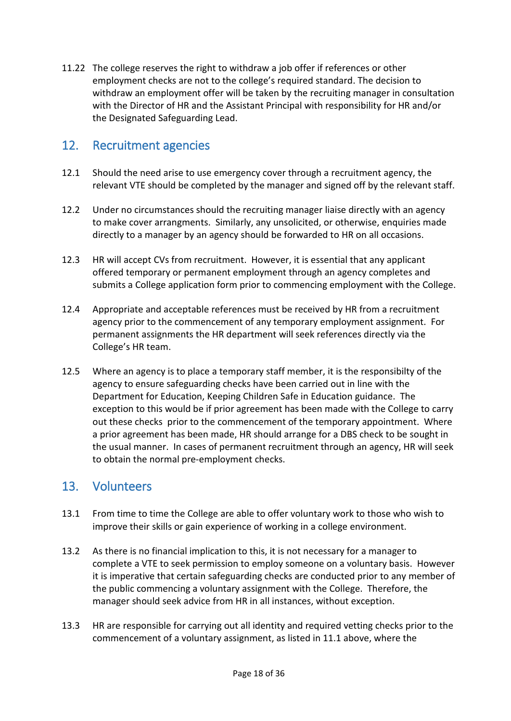11.22 The college reserves the right to withdraw a job offer if references or other employment checks are not to the college's required standard. The decision to withdraw an employment offer will be taken by the recruiting manager in consultation with the Director of HR and the Assistant Principal with responsibility for HR and/or the Designated Safeguarding Lead.

## <span id="page-17-0"></span>12. Recruitment agencies

- 12.1 Should the need arise to use emergency cover through a recruitment agency, the relevant VTE should be completed by the manager and signed off by the relevant staff.
- 12.2 Under no circumstances should the recruiting manager liaise directly with an agency to make cover arrangments. Similarly, any unsolicited, or otherwise, enquiries made directly to a manager by an agency should be forwarded to HR on all occasions.
- 12.3 HR will accept CVs from recruitment. However, it is essential that any applicant offered temporary or permanent employment through an agency completes and submits a College application form prior to commencing employment with the College.
- 12.4 Appropriate and acceptable references must be received by HR from a recruitment agency prior to the commencement of any temporary employment assignment. For permanent assignments the HR department will seek references directly via the College's HR team.
- 12.5 Where an agency is to place a temporary staff member, it is the responsibilty of the agency to ensure safeguarding checks have been carried out in line with the Department for Education, Keeping Children Safe in Education guidance. The exception to this would be if prior agreement has been made with the College to carry out these checks prior to the commencement of the temporary appointment. Where a prior agreement has been made, HR should arrange for a DBS check to be sought in the usual manner. In cases of permanent recruitment through an agency, HR will seek to obtain the normal pre-employment checks.

## <span id="page-17-1"></span>13. Volunteers

- 13.1 From time to time the College are able to offer voluntary work to those who wish to improve their skills or gain experience of working in a college environment.
- 13.2 As there is no financial implication to this, it is not necessary for a manager to complete a VTE to seek permission to employ someone on a voluntary basis. However it is imperative that certain safeguarding checks are conducted prior to any member of the public commencing a voluntary assignment with the College. Therefore, the manager should seek advice from HR in all instances, without exception.
- 13.3 HR are responsible for carrying out all identity and required vetting checks prior to the commencement of a voluntary assignment, as listed in 11.1 above, where the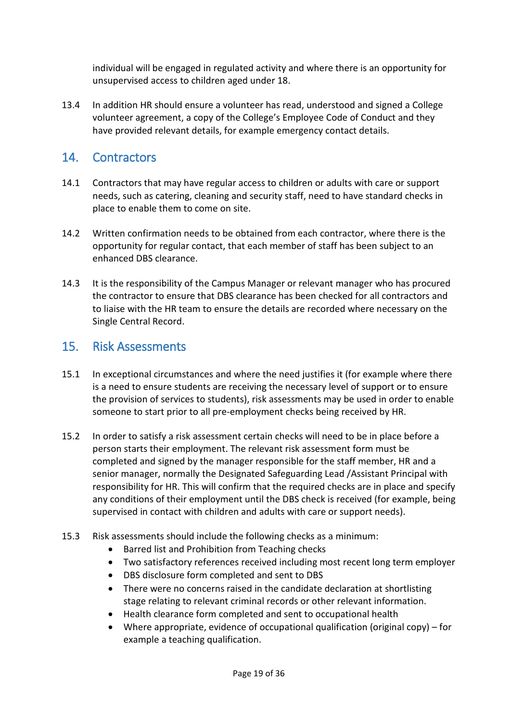individual will be engaged in regulated activity and where there is an opportunity for unsupervised access to children aged under 18.

13.4 In addition HR should ensure a volunteer has read, understood and signed a College volunteer agreement, a copy of the College's Employee Code of Conduct and they have provided relevant details, for example emergency contact details.

## <span id="page-18-0"></span>14. Contractors

- 14.1 Contractors that may have regular access to children or adults with care or support needs, such as catering, cleaning and security staff, need to have standard checks in place to enable them to come on site.
- 14.2 Written confirmation needs to be obtained from each contractor, where there is the opportunity for regular contact, that each member of staff has been subject to an enhanced DBS clearance.
- 14.3 It is the responsibility of the Campus Manager or relevant manager who has procured the contractor to ensure that DBS clearance has been checked for all contractors and to liaise with the HR team to ensure the details are recorded where necessary on the Single Central Record.

## <span id="page-18-1"></span>15. Risk Assessments

- 15.1 In exceptional circumstances and where the need justifies it (for example where there is a need to ensure students are receiving the necessary level of support or to ensure the provision of services to students), risk assessments may be used in order to enable someone to start prior to all pre-employment checks being received by HR.
- 15.2 In order to satisfy a risk assessment certain checks will need to be in place before a person starts their employment. The relevant risk assessment form must be completed and signed by the manager responsible for the staff member, HR and a senior manager, normally the Designated Safeguarding Lead /Assistant Principal with responsibility for HR. This will confirm that the required checks are in place and specify any conditions of their employment until the DBS check is received (for example, being supervised in contact with children and adults with care or support needs).
- 15.3 Risk assessments should include the following checks as a minimum:
	- Barred list and Prohibition from Teaching checks
	- Two satisfactory references received including most recent long term employer
	- DBS disclosure form completed and sent to DBS
	- There were no concerns raised in the candidate declaration at shortlisting stage relating to relevant criminal records or other relevant information.
	- Health clearance form completed and sent to occupational health
	- Where appropriate, evidence of occupational qualification (original copy) for example a teaching qualification.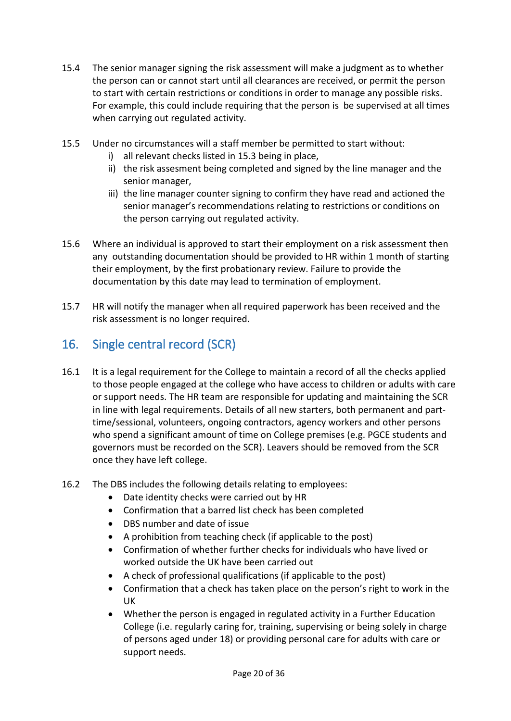- 15.4 The senior manager signing the risk assessment will make a judgment as to whether the person can or cannot start until all clearances are received, or permit the person to start with certain restrictions or conditions in order to manage any possible risks. For example, this could include requiring that the person is be supervised at all times when carrying out regulated activity.
- 15.5 Under no circumstances will a staff member be permitted to start without:
	- i) all relevant checks listed in 15.3 being in place,
	- ii) the risk assesment being completed and signed by the line manager and the senior manager,
	- iii) the line manager counter signing to confirm they have read and actioned the senior manager's recommendations relating to restrictions or conditions on the person carrying out regulated activity.
- 15.6 Where an individual is approved to start their employment on a risk assessment then any outstanding documentation should be provided to HR within 1 month of starting their employment, by the first probationary review. Failure to provide the documentation by this date may lead to termination of employment.
- 15.7 HR will notify the manager when all required paperwork has been received and the risk assessment is no longer required.

## <span id="page-19-0"></span>16. Single central record (SCR)

- 16.1 It is a legal requirement for the College to maintain a record of all the checks applied to those people engaged at the college who have access to children or adults with care or support needs. The HR team are responsible for updating and maintaining the SCR in line with legal requirements. Details of all new starters, both permanent and parttime/sessional, volunteers, ongoing contractors, agency workers and other persons who spend a significant amount of time on College premises (e.g. PGCE students and governors must be recorded on the SCR). Leavers should be removed from the SCR once they have left college.
- 16.2 The DBS includes the following details relating to employees:
	- Date identity checks were carried out by HR
	- Confirmation that a barred list check has been completed
	- DBS number and date of issue
	- A prohibition from teaching check (if applicable to the post)
	- Confirmation of whether further checks for individuals who have lived or worked outside the UK have been carried out
	- A check of professional qualifications (if applicable to the post)
	- Confirmation that a check has taken place on the person's right to work in the UK
	- Whether the person is engaged in regulated activity in a Further Education College (i.e. regularly caring for, training, supervising or being solely in charge of persons aged under 18) or providing personal care for adults with care or support needs.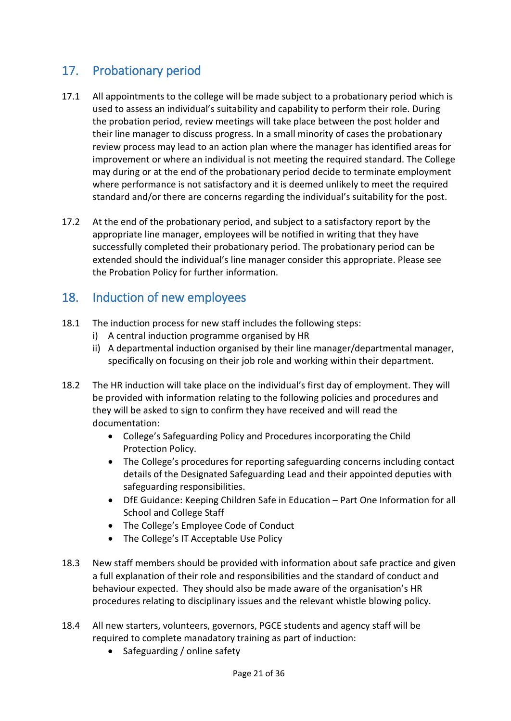## <span id="page-20-0"></span>17. Probationary period

- 17.1 All appointments to the college will be made subject to a probationary period which is used to assess an individual's suitability and capability to perform their role. During the probation period, review meetings will take place between the post holder and their line manager to discuss progress. In a small minority of cases the probationary review process may lead to an action plan where the manager has identified areas for improvement or where an individual is not meeting the required standard. The College may during or at the end of the probationary period decide to terminate employment where performance is not satisfactory and it is deemed unlikely to meet the required standard and/or there are concerns regarding the individual's suitability for the post.
- 17.2 At the end of the probationary period, and subject to a satisfactory report by the appropriate line manager, employees will be notified in writing that they have successfully completed their probationary period. The probationary period can be extended should the individual's line manager consider this appropriate. Please see the Probation Policy for further information.

## <span id="page-20-1"></span>18. Induction of new employees

- 18.1 The induction process for new staff includes the following steps:
	- i) A central induction programme organised by HR
	- ii) A departmental induction organised by their line manager/departmental manager, specifically on focusing on their job role and working within their department.
- 18.2 The HR induction will take place on the individual's first day of employment. They will be provided with information relating to the following policies and procedures and they will be asked to sign to confirm they have received and will read the documentation:
	- College's Safeguarding Policy and Procedures incorporating the Child Protection Policy.
	- The College's procedures for reporting safeguarding concerns including contact details of the Designated Safeguarding Lead and their appointed deputies with safeguarding responsibilities.
	- DfE Guidance: Keeping Children Safe in Education Part One Information for all School and College Staff
	- The College's Employee Code of Conduct
	- The College's IT Acceptable Use Policy
- 18.3 New staff members should be provided with information about safe practice and given a full explanation of their role and responsibilities and the standard of conduct and behaviour expected. They should also be made aware of the organisation's HR procedures relating to disciplinary issues and the relevant whistle blowing policy.
- 18.4 All new starters, volunteers, governors, PGCE students and agency staff will be required to complete manadatory training as part of induction:
	- Safeguarding / online safety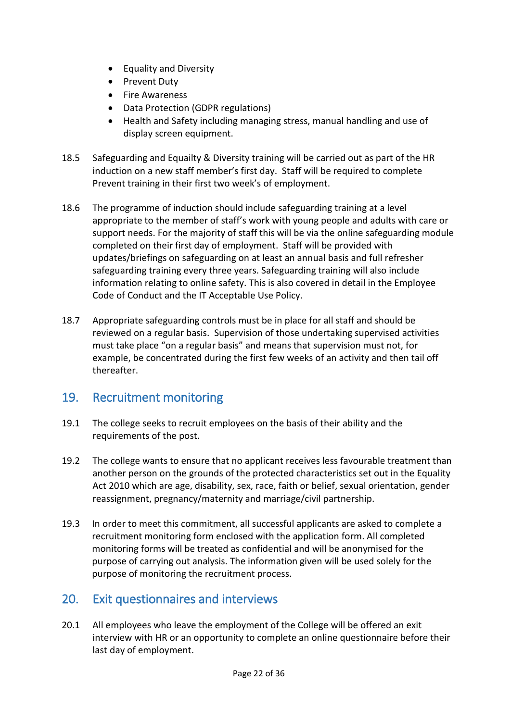- Equality and Diversity
- Prevent Duty
- Fire Awareness
- Data Protection (GDPR regulations)
- Health and Safety including managing stress, manual handling and use of display screen equipment.
- 18.5 Safeguarding and Equailty & Diversity training will be carried out as part of the HR induction on a new staff member's first day. Staff will be required to complete Prevent training in their first two week's of employment.
- 18.6 The programme of induction should include safeguarding training at a level appropriate to the member of staff's work with young people and adults with care or support needs. For the majority of staff this will be via the online safeguarding module completed on their first day of employment. Staff will be provided with updates/briefings on safeguarding on at least an annual basis and full refresher safeguarding training every three years. Safeguarding training will also include information relating to online safety. This is also covered in detail in the Employee Code of Conduct and the IT Acceptable Use Policy.
- 18.7 Appropriate safeguarding controls must be in place for all staff and should be reviewed on a regular basis. Supervision of those undertaking supervised activities must take place "on a regular basis" and means that supervision must not, for example, be concentrated during the first few weeks of an activity and then tail off thereafter.

## <span id="page-21-0"></span>19. Recruitment monitoring

- 19.1 The college seeks to recruit employees on the basis of their ability and the requirements of the post.
- 19.2 The college wants to ensure that no applicant receives less favourable treatment than another person on the grounds of the protected characteristics set out in the Equality Act 2010 which are age, disability, sex, race, faith or belief, sexual orientation, gender reassignment, pregnancy/maternity and marriage/civil partnership.
- 19.3 In order to meet this commitment, all successful applicants are asked to complete a recruitment monitoring form enclosed with the application form. All completed monitoring forms will be treated as confidential and will be anonymised for the purpose of carrying out analysis. The information given will be used solely for the purpose of monitoring the recruitment process.

## <span id="page-21-1"></span>20. Exit questionnaires and interviews

20.1 All employees who leave the employment of the College will be offered an exit interview with HR or an opportunity to complete an online questionnaire before their last day of employment.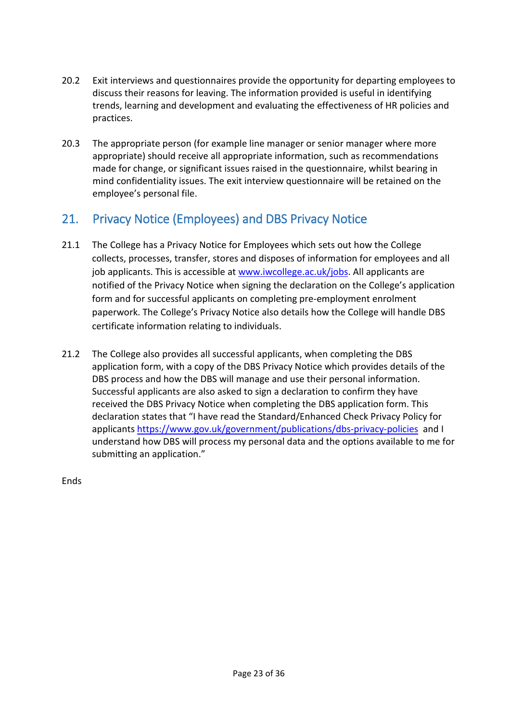- 20.2 Exit interviews and questionnaires provide the opportunity for departing employees to discuss their reasons for leaving. The information provided is useful in identifying trends, learning and development and evaluating the effectiveness of HR policies and practices.
- 20.3 The appropriate person (for example line manager or senior manager where more appropriate) should receive all appropriate information, such as recommendations made for change, or significant issues raised in the questionnaire, whilst bearing in mind confidentiality issues. The exit interview questionnaire will be retained on the employee's personal file.

## <span id="page-22-0"></span>21. Privacy Notice (Employees) and DBS Privacy Notice

- 21.1 The College has a Privacy Notice for Employees which sets out how the College collects, processes, transfer, stores and disposes of information for employees and all job applicants. This is accessible at [www.iwcollege.ac.uk/jobs.](http://www.iwcollege.ac.uk/jobs) All applicants are notified of the Privacy Notice when signing the declaration on the College's application form and for successful applicants on completing pre-employment enrolment paperwork. The College's Privacy Notice also details how the College will handle DBS certificate information relating to individuals.
- 21.2 The College also provides all successful applicants, when completing the DBS application form, with a copy of the DBS Privacy Notice which provides details of the DBS process and how the DBS will manage and use their personal information. Successful applicants are also asked to sign a declaration to confirm they have received the DBS Privacy Notice when completing the DBS application form. This declaration states that "I have read the Standard/Enhanced Check Privacy Policy for applicants <https://www.gov.uk/government/publications/dbs-privacy-policies> and I understand how DBS will process my personal data and the options available to me for submitting an application."

Ends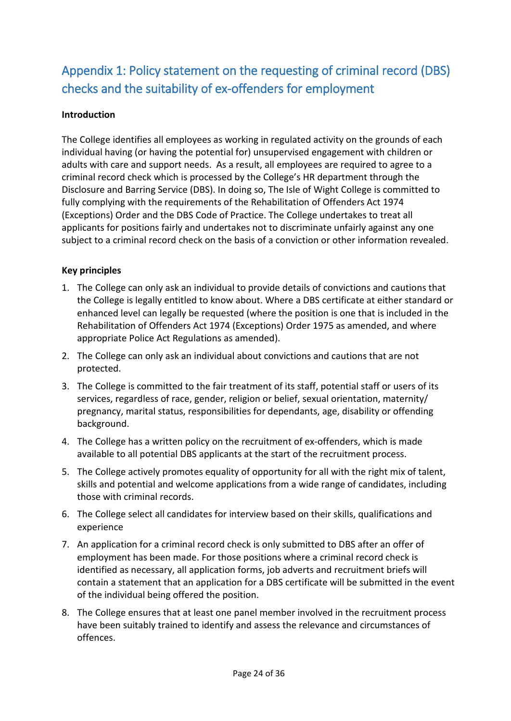## <span id="page-23-0"></span>Appendix 1: Policy statement on the requesting of criminal record (DBS) checks and the suitability of ex-offenders for employment

## **Introduction**

The College identifies all employees as working in regulated activity on the grounds of each individual having (or having the potential for) unsupervised engagement with children or adults with care and support needs. As a result, all employees are required to agree to a criminal record check which is processed by the College's HR department through the Disclosure and Barring Service (DBS). In doing so, The Isle of Wight College is committed to fully complying with the requirements of the Rehabilitation of Offenders Act 1974 (Exceptions) Order and the DBS Code of Practice. The College undertakes to treat all applicants for positions fairly and undertakes not to discriminate unfairly against any one subject to a criminal record check on the basis of a conviction or other information revealed.

## **Key principles**

- 1. The College can only ask an individual to provide details of convictions and cautions that the College is legally entitled to know about. Where a DBS certificate at either standard or enhanced level can legally be requested (where the position is one that is included in the Rehabilitation of Offenders Act 1974 (Exceptions) Order 1975 as amended, and where appropriate Police Act Regulations as amended).
- 2. The College can only ask an individual about convictions and cautions that are not protected.
- 3. The College is committed to the fair treatment of its staff, potential staff or users of its services, regardless of race, gender, religion or belief, sexual orientation, maternity/ pregnancy, marital status, responsibilities for dependants, age, disability or offending background.
- 4. The College has a written policy on the recruitment of ex-offenders, which is made available to all potential DBS applicants at the start of the recruitment process.
- 5. The College actively promotes equality of opportunity for all with the right mix of talent, skills and potential and welcome applications from a wide range of candidates, including those with criminal records.
- 6. The College select all candidates for interview based on their skills, qualifications and experience
- 7. An application for a criminal record check is only submitted to DBS after an offer of employment has been made. For those positions where a criminal record check is identified as necessary, all application forms, job adverts and recruitment briefs will contain a statement that an application for a DBS certificate will be submitted in the event of the individual being offered the position.
- 8. The College ensures that at least one panel member involved in the recruitment process have been suitably trained to identify and assess the relevance and circumstances of offences.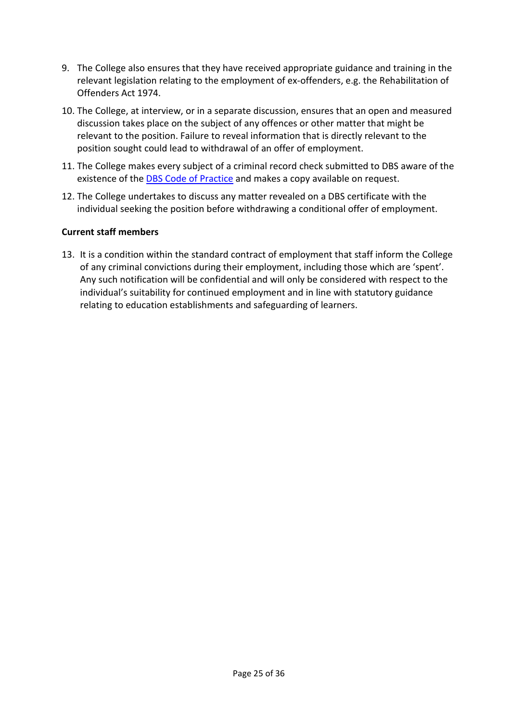- 9. The College also ensures that they have received appropriate guidance and training in the relevant legislation relating to the employment of ex-offenders, e.g. the Rehabilitation of Offenders Act 1974.
- 10. The College, at interview, or in a separate discussion, ensures that an open and measured discussion takes place on the subject of any offences or other matter that might be relevant to the position. Failure to reveal information that is directly relevant to the position sought could lead to withdrawal of an offer of employment.
- 11. The College makes every subject of a criminal record check submitted to DBS aware of the existence of the **[DBS Code of Practice](https://www.gov.uk/government/publications/dbs-code-of-practice)** and makes a copy available on request.
- 12. The College undertakes to discuss any matter revealed on a DBS certificate with the individual seeking the position before withdrawing a conditional offer of employment.

#### **Current staff members**

13. It is a condition within the standard contract of employment that staff inform the College of any criminal convictions during their employment, including those which are 'spent'. Any such notification will be confidential and will only be considered with respect to the individual's suitability for continued employment and in line with statutory guidance relating to education establishments and safeguarding of learners.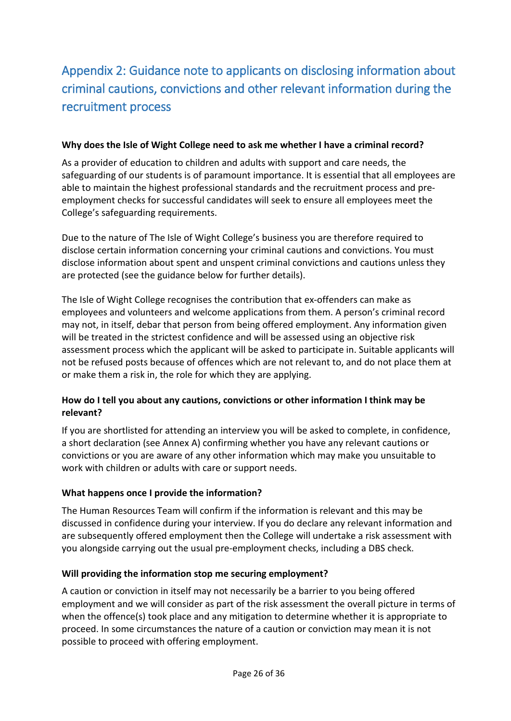## <span id="page-25-0"></span>Appendix 2: Guidance note to applicants on disclosing information about criminal cautions, convictions and other relevant information during the recruitment process

#### **Why does the Isle of Wight College need to ask me whether I have a criminal record?**

As a provider of education to children and adults with support and care needs, the safeguarding of our students is of paramount importance. It is essential that all employees are able to maintain the highest professional standards and the recruitment process and preemployment checks for successful candidates will seek to ensure all employees meet the College's safeguarding requirements.

Due to the nature of The Isle of Wight College's business you are therefore required to disclose certain information concerning your criminal cautions and convictions. You must disclose information about spent and unspent criminal convictions and cautions unless they are protected (see the guidance below for further details).

The Isle of Wight College recognises the contribution that ex-offenders can make as employees and volunteers and welcome applications from them. A person's criminal record may not, in itself, debar that person from being offered employment. Any information given will be treated in the strictest confidence and will be assessed using an objective risk assessment process which the applicant will be asked to participate in. Suitable applicants will not be refused posts because of offences which are not relevant to, and do not place them at or make them a risk in, the role for which they are applying.

## **How do I tell you about any cautions, convictions or other information I think may be relevant?**

If you are shortlisted for attending an interview you will be asked to complete, in confidence, a short declaration (see Annex A) confirming whether you have any relevant cautions or convictions or you are aware of any other information which may make you unsuitable to work with children or adults with care or support needs.

#### **What happens once I provide the information?**

The Human Resources Team will confirm if the information is relevant and this may be discussed in confidence during your interview. If you do declare any relevant information and are subsequently offered employment then the College will undertake a risk assessment with you alongside carrying out the usual pre-employment checks, including a DBS check.

#### **Will providing the information stop me securing employment?**

A caution or conviction in itself may not necessarily be a barrier to you being offered employment and we will consider as part of the risk assessment the overall picture in terms of when the offence(s) took place and any mitigation to determine whether it is appropriate to proceed. In some circumstances the nature of a caution or conviction may mean it is not possible to proceed with offering employment.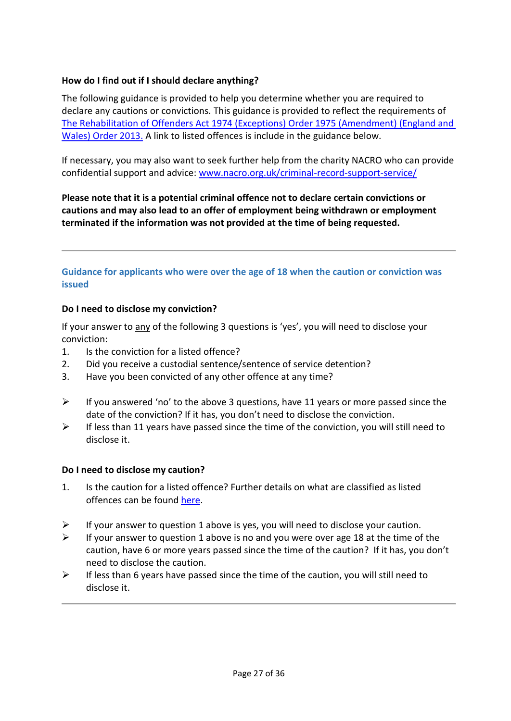#### **How do I find out if I should declare anything?**

The following guidance is provided to help you determine whether you are required to declare any cautions or convictions. This guidance is provided to reflect the requirements of [The Rehabilitation of Offenders Act 1974 \(Exceptions\) Order 1975 \(Amendment\) \(England and](http://www.legislation.gov.uk/uksi/2013/1198/made)  [Wales\) Order 2013.](http://www.legislation.gov.uk/uksi/2013/1198/made) A link to listed offences is include in the guidance below.

If necessary, you may also want to seek further help from the charity NACRO who can provide confidential support and advice: [www.nacro.org.uk/criminal-record-support-service/](http://www.nacro.org.uk/criminal-record-support-service/)

**Please note that it is a potential criminal offence not to declare certain convictions or cautions and may also lead to an offer of employment being withdrawn or employment terminated if the information was not provided at the time of being requested.**

#### **Guidance for applicants who were over the age of 18 when the caution or conviction was issued**

#### **Do I need to disclose my conviction?**

If your answer to any of the following 3 questions is 'yes', you will need to disclose your conviction:

- 1. Is the conviction for a listed offence?
- 2. Did you receive a custodial sentence/sentence of service detention?
- 3. Have you been convicted of any other offence at any time?
- $\triangleright$  If you answered 'no' to the above 3 questions, have 11 years or more passed since the date of the conviction? If it has, you don't need to disclose the conviction.
- $\triangleright$  If less than 11 years have passed since the time of the conviction, you will still need to disclose it.

#### **Do I need to disclose my caution?**

- 1. Is the caution for a listed offence? Further details on what are classified as listed offences can be found [here.](https://www.gov.uk/government/publications/dbs-list-of-offences-that-will-never-be-filtered-from-a-criminal-record-check)
- $\triangleright$  If your answer to question 1 above is yes, you will need to disclose your caution.
- $\triangleright$  If your answer to question 1 above is no and you were over age 18 at the time of the caution, have 6 or more years passed since the time of the caution? If it has, you don't need to disclose the caution.
- $\triangleright$  If less than 6 years have passed since the time of the caution, you will still need to disclose it.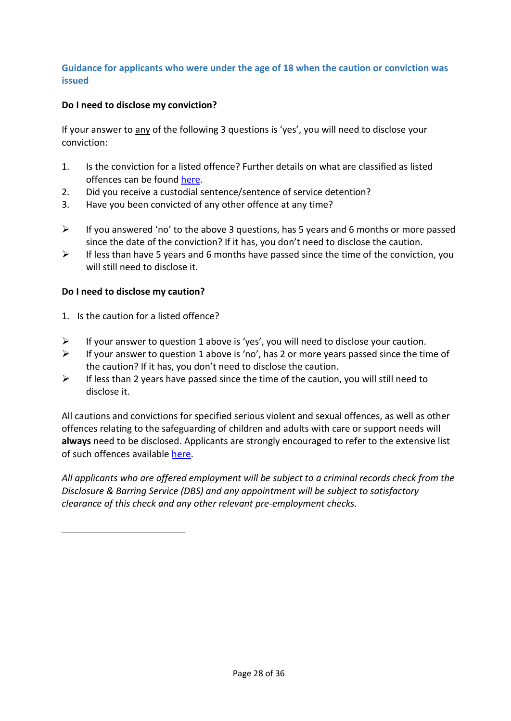## **Guidance for applicants who were under the age of 18 when the caution or conviction was issued**

## **Do I need to disclose my conviction?**

If your answer to any of the following 3 questions is 'yes', you will need to disclose your conviction:

- 1. Is the conviction for a listed offence? Further details on what are classified as listed offences can be found [here.](https://www.gov.uk/government/publications/dbs-list-of-offences-that-will-never-be-filtered-from-a-criminal-record-check)
- 2. Did you receive a custodial sentence/sentence of service detention?
- 3. Have you been convicted of any other offence at any time?
- $\triangleright$  If you answered 'no' to the above 3 questions, has 5 years and 6 months or more passed since the date of the conviction? If it has, you don't need to disclose the caution.
- $\triangleright$  If less than have 5 years and 6 months have passed since the time of the conviction, you will still need to disclose it.

#### **Do I need to disclose my caution?**

- 1. Is the caution for a listed offence?
- $\triangleright$  If your answer to question 1 above is 'yes', you will need to disclose your caution.
- $\triangleright$  If your answer to question 1 above is 'no', has 2 or more years passed since the time of the caution? If it has, you don't need to disclose the caution.
- $\triangleright$  If less than 2 years have passed since the time of the caution, you will still need to disclose it.

All cautions and convictions for specified serious violent and sexual offences, as well as other offences relating to the safeguarding of children and adults with care or support needs will **always** need to be disclosed. Applicants are strongly encouraged to refer to the extensive list of such offences available [here.](https://www.gov.uk/government/publications/dbs-list-of-offences-that-will-never-be-filtered-from-a-criminal-record-check)

*All applicants who are offered employment will be subject to a criminal records check from the Disclosure & Barring Service (DBS) and any appointment will be subject to satisfactory clearance of this check and any other relevant pre-employment checks.*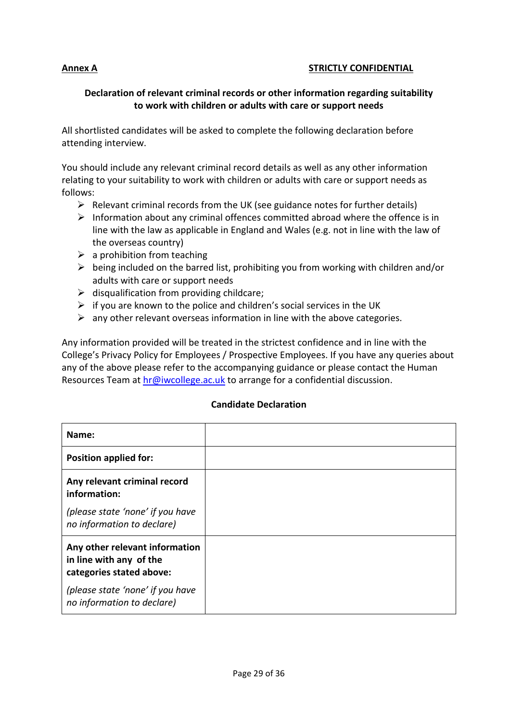#### **Annex A STRICTLY CONFIDENTIAL**

#### **Declaration of relevant criminal records or other information regarding suitability to work with children or adults with care or support needs**

All shortlisted candidates will be asked to complete the following declaration before attending interview.

You should include any relevant criminal record details as well as any other information relating to your suitability to work with children or adults with care or support needs as follows:

- $\triangleright$  Relevant criminal records from the UK (see guidance notes for further details)
- $\triangleright$  Information about any criminal offences committed abroad where the offence is in line with the law as applicable in England and Wales (e.g. not in line with the law of the overseas country)
- $\triangleright$  a prohibition from teaching
- $\triangleright$  being included on the barred list, prohibiting you from working with children and/or adults with care or support needs
- $\triangleright$  disqualification from providing childcare;
- $\triangleright$  if you are known to the police and children's social services in the UK
- $\triangleright$  any other relevant overseas information in line with the above categories.

Any information provided will be treated in the strictest confidence and in line with the College's Privacy Policy for Employees / Prospective Employees. If you have any queries about any of the above please refer to the accompanying guidance or please contact the Human Resources Team at [hr@iwcollege.ac.uk](mailto:hr@iwcollege.ac.uk) to arrange for a confidential discussion.

#### **Candidate Declaration**

| Name:                                                                                 |  |
|---------------------------------------------------------------------------------------|--|
| <b>Position applied for:</b>                                                          |  |
| Any relevant criminal record<br>information:                                          |  |
| (please state 'none' if you have<br>no information to declare)                        |  |
| Any other relevant information<br>in line with any of the<br>categories stated above: |  |
| (please state 'none' if you have<br>no information to declare)                        |  |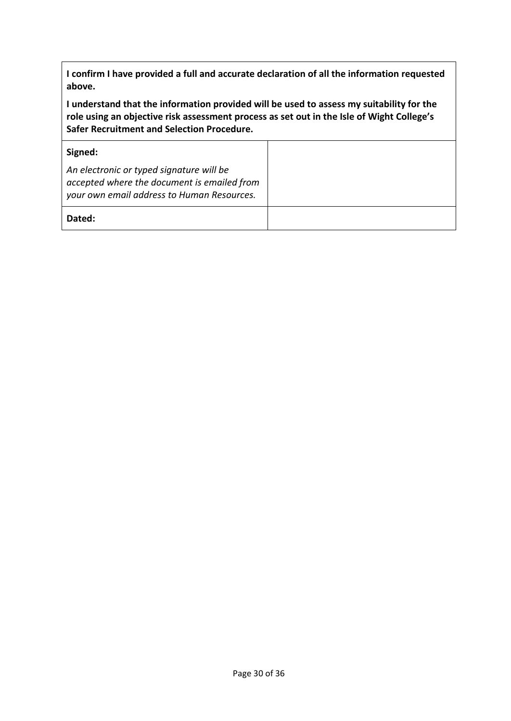**I confirm I have provided a full and accurate declaration of all the information requested above.** 

**I understand that the information provided will be used to assess my suitability for the role using an objective risk assessment process as set out in the Isle of Wight College's Safer Recruitment and Selection Procedure.**

| Signed:                                                                                                                               |  |
|---------------------------------------------------------------------------------------------------------------------------------------|--|
| An electronic or typed signature will be<br>accepted where the document is emailed from<br>your own email address to Human Resources. |  |
| Dated:                                                                                                                                |  |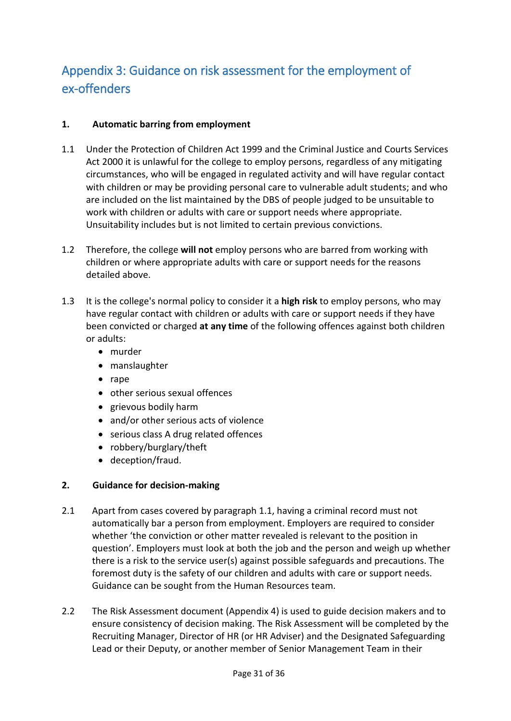## <span id="page-30-0"></span>Appendix 3: Guidance on risk assessment for the employment of ex-offenders

## **1. Automatic barring from employment**

- 1.1 Under the Protection of Children Act 1999 and the Criminal Justice and Courts Services Act 2000 it is unlawful for the college to employ persons, regardless of any mitigating circumstances, who will be engaged in regulated activity and will have regular contact with children or may be providing personal care to vulnerable adult students; and who are included on the list maintained by the DBS of people judged to be unsuitable to work with children or adults with care or support needs where appropriate. Unsuitability includes but is not limited to certain previous convictions.
- 1.2 Therefore, the college **will not** employ persons who are barred from working with children or where appropriate adults with care or support needs for the reasons detailed above.
- 1.3 It is the college's normal policy to consider it a **high risk** to employ persons, who may have regular contact with children or adults with care or support needs if they have been convicted or charged **at any time** of the following offences against both children or adults:
	- murder
	- manslaughter
	- rape
	- other serious sexual offences
	- grievous bodily harm
	- and/or other serious acts of violence
	- serious class A drug related offences
	- robbery/burglary/theft
	- deception/fraud.

## **2. Guidance for decision-making**

- 2.1 Apart from cases covered by paragraph 1.1, having a criminal record must not automatically bar a person from employment. Employers are required to consider whether 'the conviction or other matter revealed is relevant to the position in question'. Employers must look at both the job and the person and weigh up whether there is a risk to the service user(s) against possible safeguards and precautions. The foremost duty is the safety of our children and adults with care or support needs. Guidance can be sought from the Human Resources team.
- 2.2 The Risk Assessment document (Appendix 4) is used to guide decision makers and to ensure consistency of decision making. The Risk Assessment will be completed by the Recruiting Manager, Director of HR (or HR Adviser) and the Designated Safeguarding Lead or their Deputy, or another member of Senior Management Team in their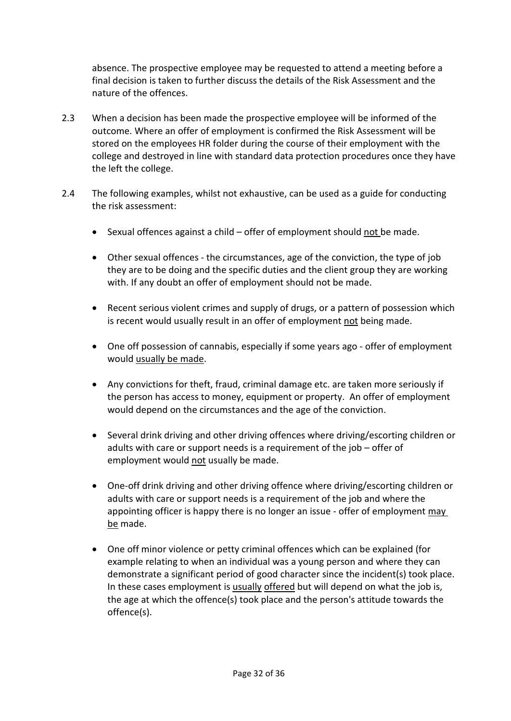absence. The prospective employee may be requested to attend a meeting before a final decision is taken to further discuss the details of the Risk Assessment and the nature of the offences.

- 2.3 When a decision has been made the prospective employee will be informed of the outcome. Where an offer of employment is confirmed the Risk Assessment will be stored on the employees HR folder during the course of their employment with the college and destroyed in line with standard data protection procedures once they have the left the college.
- 2.4 The following examples, whilst not exhaustive, can be used as a guide for conducting the risk assessment:
	- Sexual offences against a child offer of employment should not be made.
	- Other sexual offences the circumstances, age of the conviction, the type of job they are to be doing and the specific duties and the client group they are working with. If any doubt an offer of employment should not be made.
	- Recent serious violent crimes and supply of drugs, or a pattern of possession which is recent would usually result in an offer of employment not being made.
	- One off possession of cannabis, especially if some years ago offer of employment would usually be made.
	- Any convictions for theft, fraud, criminal damage etc. are taken more seriously if the person has access to money, equipment or property. An offer of employment would depend on the circumstances and the age of the conviction.
	- Several drink driving and other driving offences where driving/escorting children or adults with care or support needs is a requirement of the job – offer of employment would not usually be made.
	- One-off drink driving and other driving offence where driving/escorting children or adults with care or support needs is a requirement of the job and where the appointing officer is happy there is no longer an issue - offer of employment may be made.
	- One off minor violence or petty criminal offences which can be explained (for example relating to when an individual was a young person and where they can demonstrate a significant period of good character since the incident(s) took place. In these cases employment is usually offered but will depend on what the job is, the age at which the offence(s) took place and the person's attitude towards the offence(s).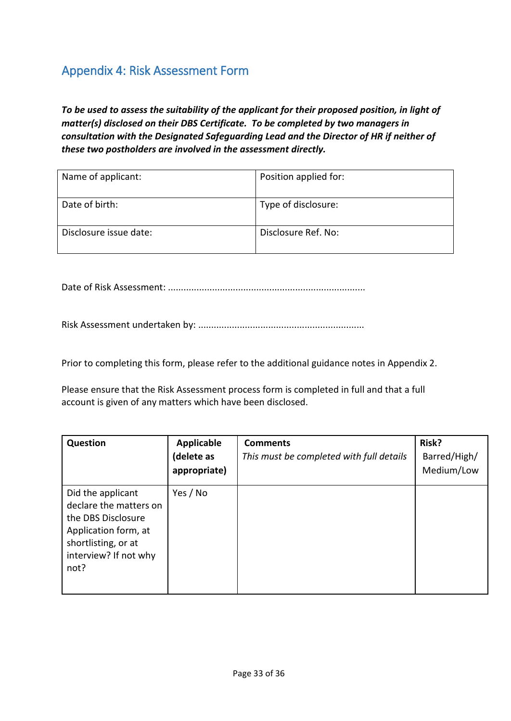## <span id="page-32-0"></span>Appendix 4: Risk Assessment Form

*To be used to assess the suitability of the applicant for their proposed position, in light of matter(s) disclosed on their DBS Certificate. To be completed by two managers in consultation with the Designated Safeguarding Lead and the Director of HR if neither of these two postholders are involved in the assessment directly.*

| Name of applicant:     | Position applied for: |
|------------------------|-----------------------|
| Date of birth:         | Type of disclosure:   |
| Disclosure issue date: | Disclosure Ref. No:   |

Date of Risk Assessment: ............................................................................

Risk Assessment undertaken by: ................................................................

Prior to completing this form, please refer to the additional guidance notes in Appendix 2.

Please ensure that the Risk Assessment process form is completed in full and that a full account is given of any matters which have been disclosed.

| <b>Question</b>                                                                                                                                   | Applicable<br>(delete as<br>appropriate) | <b>Comments</b><br>This must be completed with full details | Risk?<br>Barred/High/<br>Medium/Low |
|---------------------------------------------------------------------------------------------------------------------------------------------------|------------------------------------------|-------------------------------------------------------------|-------------------------------------|
| Did the applicant<br>declare the matters on<br>the DBS Disclosure<br>Application form, at<br>shortlisting, or at<br>interview? If not why<br>not? | Yes / No                                 |                                                             |                                     |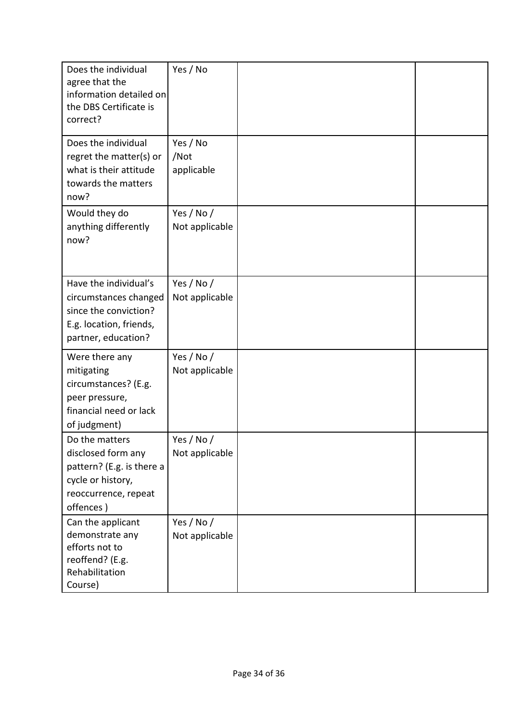| Does the individual<br>agree that the<br>information detailed on<br>the DBS Certificate is<br>correct?                      | Yes / No                       |  |
|-----------------------------------------------------------------------------------------------------------------------------|--------------------------------|--|
| Does the individual<br>regret the matter(s) or<br>what is their attitude<br>towards the matters<br>now?                     | Yes / No<br>/Not<br>applicable |  |
| Would they do<br>anything differently<br>now?                                                                               | Yes / No /<br>Not applicable   |  |
| Have the individual's<br>circumstances changed<br>since the conviction?<br>E.g. location, friends,<br>partner, education?   | Yes / No /<br>Not applicable   |  |
| Were there any<br>mitigating<br>circumstances? (E.g.<br>peer pressure,<br>financial need or lack<br>of judgment)            | Yes / No /<br>Not applicable   |  |
| Do the matters<br>disclosed form any<br>pattern? (E.g. is there a<br>cycle or history,<br>reoccurrence, repeat<br>offences) | Yes / No /<br>Not applicable   |  |
| Can the applicant<br>demonstrate any<br>efforts not to<br>reoffend? (E.g.<br>Rehabilitation<br>Course)                      | Yes / No /<br>Not applicable   |  |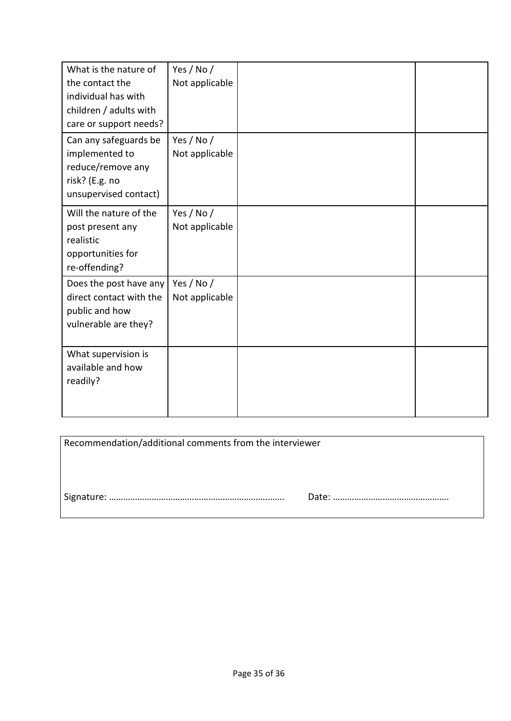| What is the nature of<br>the contact the<br>individual has with<br>children / adults with<br>care or support needs? | Yes / No /<br>Not applicable |  |
|---------------------------------------------------------------------------------------------------------------------|------------------------------|--|
| Can any safeguards be<br>implemented to<br>reduce/remove any<br>risk? (E.g. no<br>unsupervised contact)             | Yes / No /<br>Not applicable |  |
| Will the nature of the<br>post present any<br>realistic<br>opportunities for<br>re-offending?                       | Yes / No /<br>Not applicable |  |
| Does the post have any<br>direct contact with the<br>public and how<br>vulnerable are they?                         | Yes / No /<br>Not applicable |  |
| What supervision is<br>available and how<br>readily?                                                                |                              |  |

| Recommendation/additional comments from the interviewer |  |
|---------------------------------------------------------|--|
|                                                         |  |
|                                                         |  |
|                                                         |  |